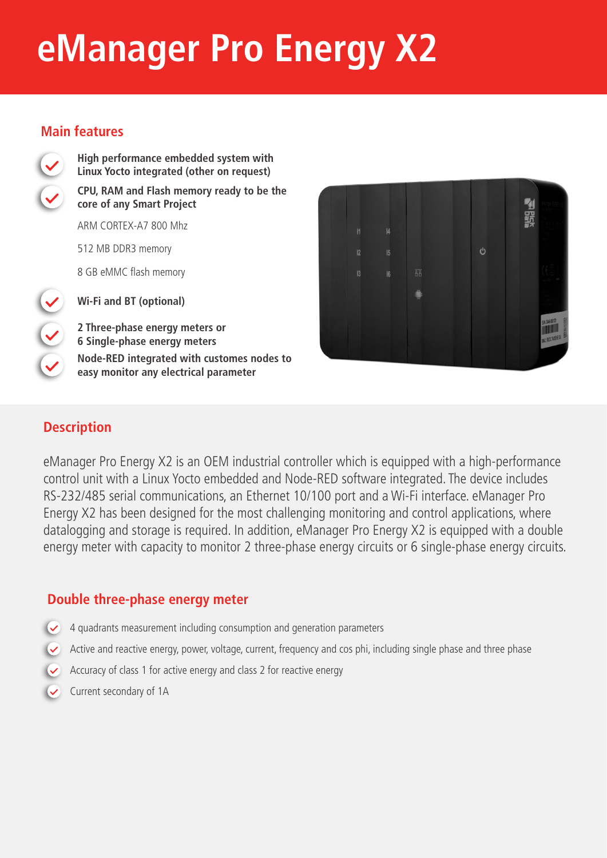# **eManager Pro Energy X2**

### **Main features**



**High performance embedded system with Linux Yocto integrated (other on request) CPU, RAM and Flash memory ready to be the core of any Smart Project** 

ARM CORTEX-A7 800 Mhz

512 MB DDR3 memory

8 GB eMMC flash memory

**Wi-Fi and BT (optional)**

**2 Three-phase energy meters or 6 Single-phase energy meters Node-RED integrated with customes nodes to easy monitor any electrical parameter**



## **Description**

eManager Pro Energy X2 is an OEM industrial controller which is equipped with a high-performance control unit with a Linux Yocto embedded and Node-RED software integrated. The device includes RS-232/485 serial communications, an Ethernet 10/100 port and a Wi-Fi interface. eManager Pro Energy X2 has been designed for the most challenging monitoring and control applications, where datalogging and storage is required. In addition, eManager Pro Energy X2 is equipped with a double energy meter with capacity to monitor 2 three-phase energy circuits or 6 single-phase energy circuits.

### **Double three-phase energy meter**

- 4 quadrants measurement including consumption and generation parameters
- Active and reactive energy, power, voltage, current, frequency and cos phi, including single phase and three phase
- Accuracy of class 1 for active energy and class 2 for reactive energy
- Current secondary of 1A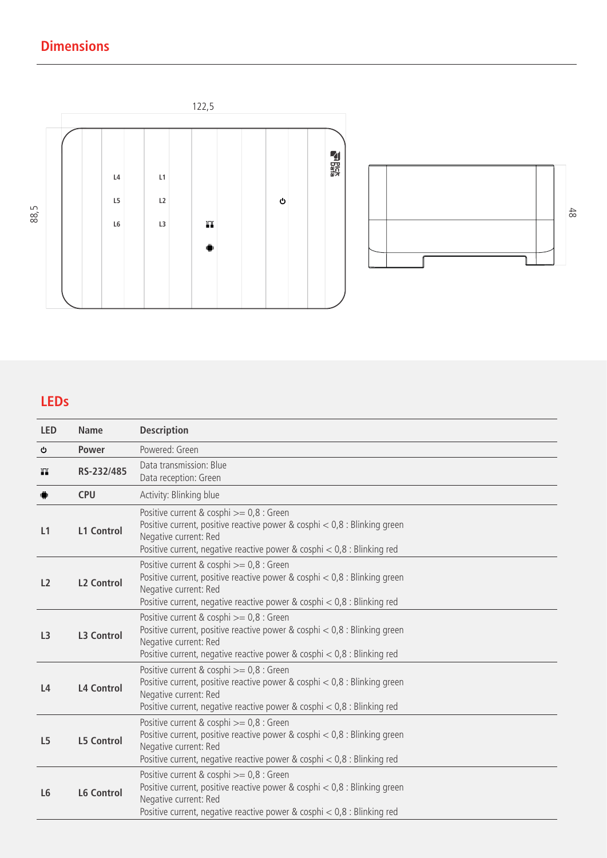# **Dimensions**





# **LEDs**

| <b>LED</b>     | <b>Name</b>       | <b>Description</b>                                                                                                                                                                                                              |  |
|----------------|-------------------|---------------------------------------------------------------------------------------------------------------------------------------------------------------------------------------------------------------------------------|--|
| O              | <b>Power</b>      | Powered: Green                                                                                                                                                                                                                  |  |
| TТ             | RS-232/485        | Data transmission: Blue<br>Data reception: Green                                                                                                                                                                                |  |
| $\blacksquare$ | <b>CPU</b>        | Activity: Blinking blue                                                                                                                                                                                                         |  |
| L1             | <b>L1 Control</b> | Positive current & cosphi >= 0,8 : Green<br>Positive current, positive reactive power & cosphi $< 0.8$ : Blinking green<br>Negative current: Red<br>Positive current, negative reactive power & cosphi < 0,8 : Blinking red     |  |
| L <sub>2</sub> | <b>L2 Control</b> | Positive current & cosphi >= 0,8 : Green<br>Positive current, positive reactive power & cosphi $< 0.8$ : Blinking green<br>Negative current: Red<br>Positive current, negative reactive power & cosphi $< 0.8$ : Blinking red   |  |
| L <sub>3</sub> | <b>L3 Control</b> | Positive current & cosphi >= 0,8 : Green<br>Positive current, positive reactive power & cosphi $< 0.8$ : Blinking green<br>Negative current: Red<br>Positive current, negative reactive power & cosphi $< 0.8$ : Blinking red   |  |
| L4             | <b>L4 Control</b> | Positive current & cosphi >= 0,8 : Green<br>Positive current, positive reactive power & cosphi $< 0.8$ : Blinking green<br>Negative current: Red<br>Positive current, negative reactive power & cosphi $< 0.8$ : Blinking red   |  |
| L <sub>5</sub> | <b>L5 Control</b> | Positive current & cosphi $>= 0.8$ : Green<br>Positive current, positive reactive power & cosphi $< 0.8$ : Blinking green<br>Negative current: Red<br>Positive current, negative reactive power & cosphi $< 0.8$ : Blinking red |  |
| L <sub>6</sub> | <b>L6 Control</b> | Positive current & cosphi >= 0,8 : Green<br>Positive current, positive reactive power & cosphi $< 0.8$ : Blinking green<br>Negative current: Red<br>Positive current, negative reactive power & cosphi $< 0.8$ : Blinking red   |  |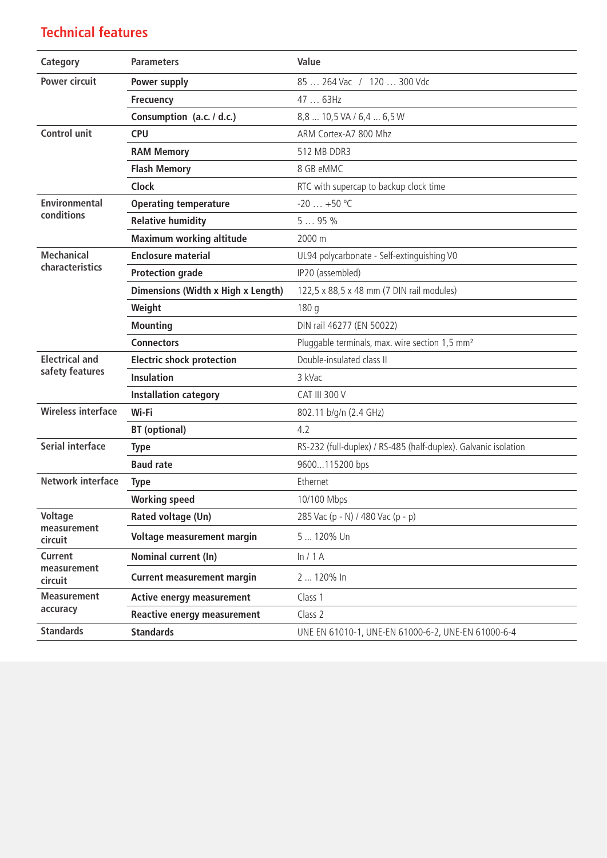# **Technical features**

| Category                  | <b>Parameters</b>                  | Value                                                           |
|---------------------------|------------------------------------|-----------------------------------------------------------------|
| <b>Power circuit</b>      | <b>Power supply</b>                | 85  264 Vac / 120  300 Vdc                                      |
|                           | <b>Frecuency</b>                   | 47  63Hz                                                        |
|                           | Consumption (a.c. / d.c.)          | 8,8  10,5 VA / 6,4  6,5 W                                       |
| <b>Control unit</b>       | <b>CPU</b>                         | ARM Cortex-A7 800 Mhz                                           |
|                           | <b>RAM Memory</b>                  | 512 MB DDR3                                                     |
|                           | <b>Flash Memory</b>                | 8 GB eMMC                                                       |
|                           | <b>Clock</b>                       | RTC with supercap to backup clock time                          |
| <b>Environmental</b>      | <b>Operating temperature</b>       | $-20+50$ °C                                                     |
| conditions                | <b>Relative humidity</b>           | 595%                                                            |
|                           | <b>Maximum working altitude</b>    | 2000 m                                                          |
| <b>Mechanical</b>         | <b>Enclosure material</b>          | UL94 polycarbonate - Self-extinguishing V0                      |
| characteristics           | <b>Protection grade</b>            | IP20 (assembled)                                                |
|                           | Dimensions (Width x High x Length) | 122,5 x 88,5 x 48 mm (7 DIN rail modules)                       |
|                           | Weight                             | 180 g                                                           |
|                           | <b>Mounting</b>                    | DIN rail 46277 (EN 50022)                                       |
|                           | <b>Connectors</b>                  | Pluggable terminals, max. wire section 1,5 mm <sup>2</sup>      |
| <b>Electrical and</b>     | <b>Electric shock protection</b>   | Double-insulated class II                                       |
| safety features           | <b>Insulation</b>                  | 3 kVac                                                          |
|                           | <b>Installation category</b>       | <b>CAT III 300 V</b>                                            |
| <b>Wireless interface</b> | Wi-Fi                              | 802.11 b/g/n (2.4 GHz)                                          |
|                           | <b>BT</b> (optional)               | 4.2                                                             |
| <b>Serial interface</b>   | <b>Type</b>                        | RS-232 (full-duplex) / RS-485 (half-duplex). Galvanic isolation |
|                           | <b>Baud rate</b>                   | 9600115200 bps                                                  |
| <b>Network interface</b>  | <b>Type</b>                        | Ethernet                                                        |
|                           | <b>Working speed</b>               | 10/100 Mbps                                                     |
| Voltage                   | Rated voltage (Un)                 | 285 Vac (p - N) / 480 Vac (p - p)                               |
| measurement<br>circuit    | Voltage measurement margin         | 5  120% Un                                                      |
| <b>Current</b>            | Nominal current (In)               | ln/1A                                                           |
| measurement<br>circuit    | <b>Current measurement margin</b>  | 2  120% In                                                      |
| <b>Measurement</b>        | <b>Active energy measurement</b>   | Class 1                                                         |
| accuracy                  | <b>Reactive energy measurement</b> | Class 2                                                         |
| <b>Standards</b>          | <b>Standards</b>                   | UNE EN 61010-1, UNE-EN 61000-6-2, UNE-EN 61000-6-4              |